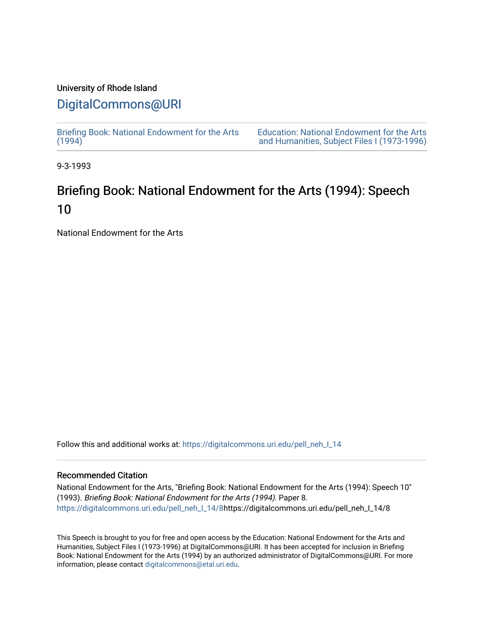# University of Rhode Island

### [DigitalCommons@URI](https://digitalcommons.uri.edu/)

[Briefing Book: National Endowment for the Arts](https://digitalcommons.uri.edu/pell_neh_I_14)  $(1994)$ 

[Education: National Endowment for the Arts](https://digitalcommons.uri.edu/pell_neh_I)  [and Humanities, Subject Files I \(1973-1996\)](https://digitalcommons.uri.edu/pell_neh_I) 

9-3-1993

## Briefing Book: National Endowment for the Arts (1994): Speech 10

National Endowment for the Arts

Follow this and additional works at: [https://digitalcommons.uri.edu/pell\\_neh\\_I\\_14](https://digitalcommons.uri.edu/pell_neh_I_14?utm_source=digitalcommons.uri.edu%2Fpell_neh_I_14%2F8&utm_medium=PDF&utm_campaign=PDFCoverPages) 

#### Recommended Citation

National Endowment for the Arts, "Briefing Book: National Endowment for the Arts (1994): Speech 10" (1993). Briefing Book: National Endowment for the Arts (1994). Paper 8. [https://digitalcommons.uri.edu/pell\\_neh\\_I\\_14/8h](https://digitalcommons.uri.edu/pell_neh_I_14/8?utm_source=digitalcommons.uri.edu%2Fpell_neh_I_14%2F8&utm_medium=PDF&utm_campaign=PDFCoverPages)ttps://digitalcommons.uri.edu/pell\_neh\_I\_14/8

This Speech is brought to you for free and open access by the Education: National Endowment for the Arts and Humanities, Subject Files I (1973-1996) at DigitalCommons@URI. It has been accepted for inclusion in Briefing Book: National Endowment for the Arts (1994) by an authorized administrator of DigitalCommons@URI. For more information, please contact [digitalcommons@etal.uri.edu.](mailto:digitalcommons@etal.uri.edu)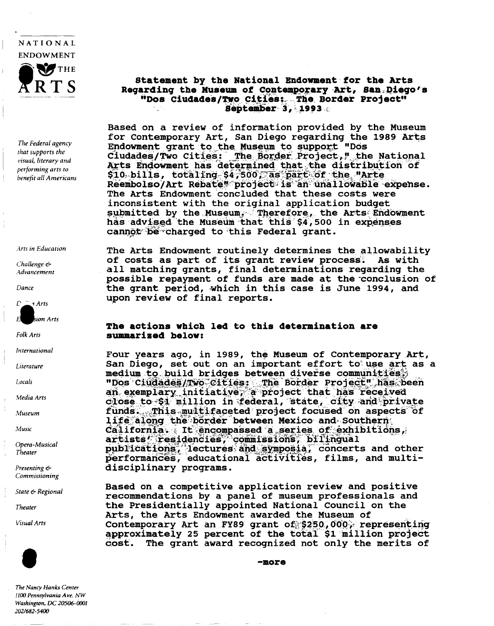

The Federal agency that supports the visual, literary and performing arts to benefit all Americans

Arts in Education

Challenge  $\epsilon$ Advancement

Dance

 $\Gamma \subseteq \tau$  Arts sion Arts

Folk Arts

International

Literature

Locals

Media Arts

Museum

Music

Opera-Musical Theater

Presenting & Commissioning

State & Regional

Theater

**Visual Arts** 



The Nancy Hanks Center 1100 Pennsylvania Ave. NW Washington, DC 20506-0001 202/682-5400

#### Statement by the National Endowment for the Arts Regarding the Museum of Contemporary Art, San Diego's "Dos Ciudades/Two Cities: The Border Project" September 3, 1993

Based on a review of information provided by the Museum for Contemporary Art, San Diego regarding the 1989 Arts Endowment grant to the Museum to support "Dos Ciudades/Two Cities: The Border Project," the National Arts Endowment has determined that the distribution of \$10 bills, totaling \$4,500, as part of the "Arte Reembolso/Art Rebate" project is an unallowable expense. The Arts Endowment concluded that these costs were inconsistent with the original application budget submitted by the Museum. Therefore, the Arts Endowment has advised the Museum that this \$4,500 in expenses cannot be charged to this Federal grant.

The Arts Endowment routinely determines the allowability of costs as part of its grant review process. **As with** all matching grants, final determinations regarding the possible repayment of funds are made at the conclusion of the grant period, which in this case is June 1994, and upon review of final reports.

#### The actions which led to this determination are summarized below:

Four years ago, in 1989, the Museum of Contemporary Art, San Diego, set out on an important effort to use art as a medium to build bridges between diverse communities; "Dos Ciudades/Two Cities: The Border Project" has been<br>an exemplary initiative, a project that has received close to \$1 million in federal, state, city and private funds. This multifaceted project focused on aspects of life along the border between Mexico and Southern California. It encompassed a series of exhibitions, artists' residencies, commissions, bilingual publications, lectures and symposia, concerts and other performances, educational activities, films, and multidisciplinary programs.

Based on a competitive application review and positive recommendations by a panel of museum professionals and the Presidentially appointed National Council on the Arts, the Arts Endowment awarded the Museum of Contemporary Art an FY89 grant of \$250,000, representing approximately 25 percent of the total \$1 million project The grant award recognized not only the merits of cost.

 $-more$